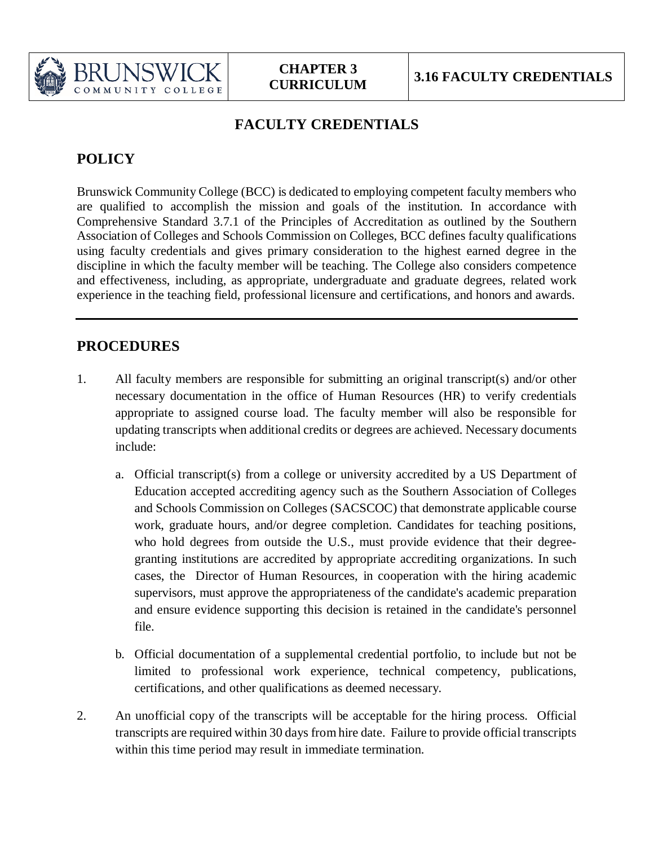

## **FACULTY CREDENTIALS**

# **POLICY**

Brunswick Community College (BCC) is dedicated to employing competent faculty members who are qualified to accomplish the mission and goals of the institution. In accordance with Comprehensive Standard 3.7.1 of the Principles of Accreditation as outlined by the Southern Association of Colleges and Schools Commission on Colleges, BCC defines faculty qualifications using faculty credentials and gives primary consideration to the highest earned degree in the discipline in which the faculty member will be teaching. The College also considers competence and effectiveness, including, as appropriate, undergraduate and graduate degrees, related work experience in the teaching field, professional licensure and certifications, and honors and awards.

### **PROCEDURES**

- 1. All faculty members are responsible for submitting an original transcript(s) and/or other necessary documentation in the office of Human Resources (HR) to verify credentials appropriate to assigned course load. The faculty member will also be responsible for updating transcripts when additional credits or degrees are achieved. Necessary documents include:
	- a. Official transcript(s) from a college or university accredited by a US Department of Education accepted accrediting agency such as the Southern Association of Colleges and Schools Commission on Colleges (SACSCOC) that demonstrate applicable course work, graduate hours, and/or degree completion. Candidates for teaching positions, who hold degrees from outside the U.S., must provide evidence that their degreegranting institutions are accredited by appropriate accrediting organizations. In such cases, the Director of Human Resources, in cooperation with the hiring academic supervisors, must approve the appropriateness of the candidate's academic preparation and ensure evidence supporting this decision is retained in the candidate's personnel file.
	- b. Official documentation of a supplemental credential portfolio, to include but not be limited to professional work experience, technical competency, publications, certifications, and other qualifications as deemed necessary.
- 2. An unofficial copy of the transcripts will be acceptable for the hiring process. Official transcripts are required within 30 days from hire date. Failure to provide official transcripts within this time period may result in immediate termination.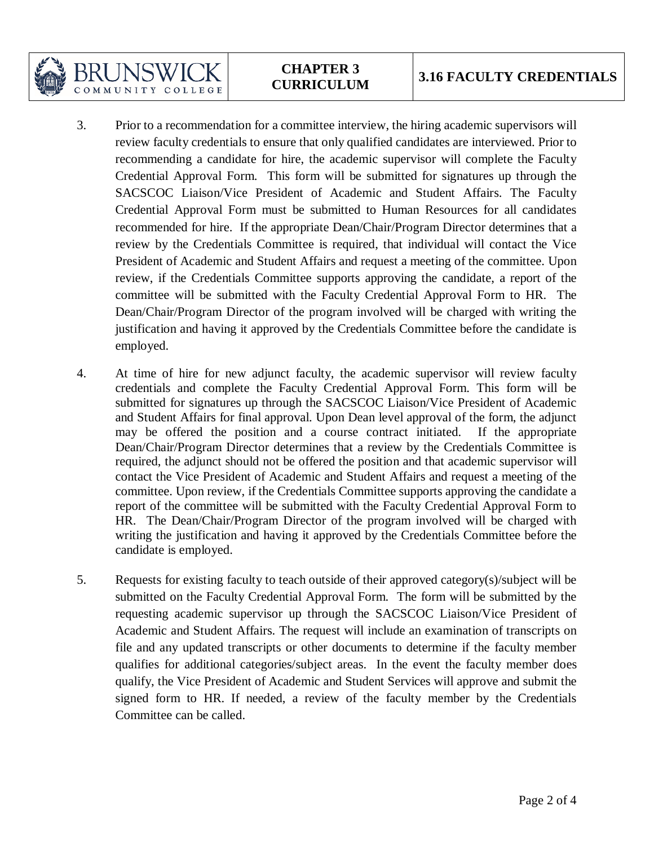**CHAPTER 3**

BRI INSW

COMMUNITY COLLEGE

- 3. Prior to a recommendation for a committee interview, the hiring academic supervisors will review faculty credentials to ensure that only qualified candidates are interviewed. Prior to recommending a candidate for hire, the academic supervisor will complete the Faculty Credential Approval Form. This form will be submitted for signatures up through the SACSCOC Liaison/Vice President of Academic and Student Affairs. The Faculty Credential Approval Form must be submitted to Human Resources for all candidates recommended for hire. If the appropriate Dean/Chair/Program Director determines that a review by the Credentials Committee is required, that individual will contact the Vice President of Academic and Student Affairs and request a meeting of the committee. Upon review, if the Credentials Committee supports approving the candidate, a report of the committee will be submitted with the Faculty Credential Approval Form to HR. The Dean/Chair/Program Director of the program involved will be charged with writing the justification and having it approved by the Credentials Committee before the candidate is employed.
- 4. At time of hire for new adjunct faculty, the academic supervisor will review faculty credentials and complete the Faculty Credential Approval Form. This form will be submitted for signatures up through the SACSCOC Liaison/Vice President of Academic and Student Affairs for final approval. Upon Dean level approval of the form, the adjunct may be offered the position and a course contract initiated. If the appropriate Dean/Chair/Program Director determines that a review by the Credentials Committee is required, the adjunct should not be offered the position and that academic supervisor will contact the Vice President of Academic and Student Affairs and request a meeting of the committee. Upon review, if the Credentials Committee supports approving the candidate a report of the committee will be submitted with the Faculty Credential Approval Form to HR. The Dean/Chair/Program Director of the program involved will be charged with writing the justification and having it approved by the Credentials Committee before the candidate is employed.
- 5. Requests for existing faculty to teach outside of their approved category(s)/subject will be submitted on the Faculty Credential Approval Form. The form will be submitted by the requesting academic supervisor up through the SACSCOC Liaison/Vice President of Academic and Student Affairs. The request will include an examination of transcripts on file and any updated transcripts or other documents to determine if the faculty member qualifies for additional categories/subject areas. In the event the faculty member does qualify, the Vice President of Academic and Student Services will approve and submit the signed form to HR. If needed, a review of the faculty member by the Credentials Committee can be called.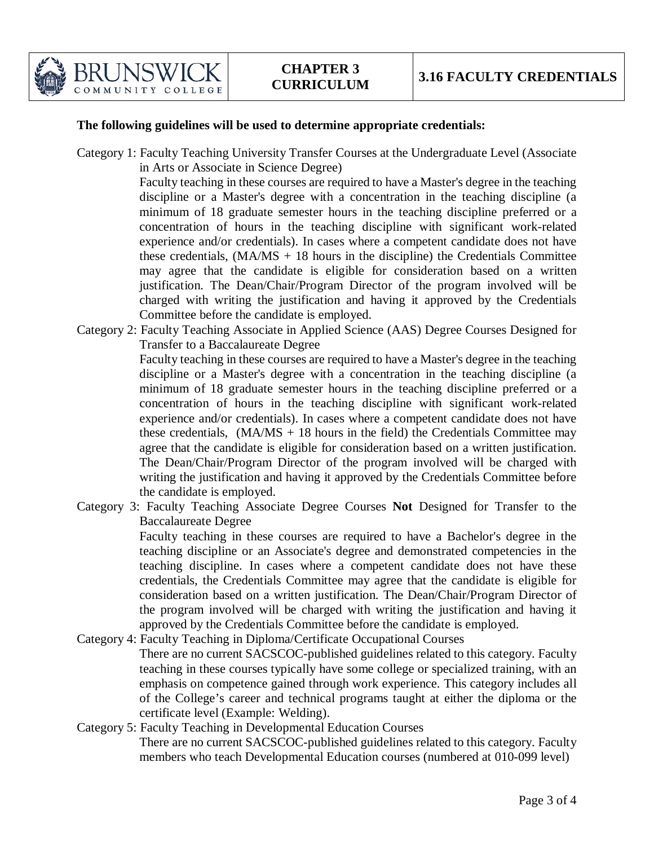

#### **The following guidelines will be used to determine appropriate credentials:**

Category 1: Faculty Teaching University Transfer Courses at the Undergraduate Level (Associate in Arts or Associate in Science Degree)

> Faculty teaching in these courses are required to have a Master's degree in the teaching discipline or a Master's degree with a concentration in the teaching discipline (a minimum of 18 graduate semester hours in the teaching discipline preferred or a concentration of hours in the teaching discipline with significant work-related experience and/or credentials). In cases where a competent candidate does not have these credentials,  $(MA/MS + 18$  hours in the discipline) the Credentials Committee may agree that the candidate is eligible for consideration based on a written justification. The Dean/Chair/Program Director of the program involved will be charged with writing the justification and having it approved by the Credentials Committee before the candidate is employed.

Category 2: Faculty Teaching Associate in Applied Science (AAS) Degree Courses Designed for Transfer to a Baccalaureate Degree

> Faculty teaching in these courses are required to have a Master's degree in the teaching discipline or a Master's degree with a concentration in the teaching discipline (a minimum of 18 graduate semester hours in the teaching discipline preferred or a concentration of hours in the teaching discipline with significant work-related experience and/or credentials). In cases where a competent candidate does not have these credentials,  $(MA/MS + 18$  hours in the field) the Credentials Committee may agree that the candidate is eligible for consideration based on a written justification. The Dean/Chair/Program Director of the program involved will be charged with writing the justification and having it approved by the Credentials Committee before the candidate is employed.

Category 3: Faculty Teaching Associate Degree Courses **Not** Designed for Transfer to the Baccalaureate Degree

> Faculty teaching in these courses are required to have a Bachelor's degree in the teaching discipline or an Associate's degree and demonstrated competencies in the teaching discipline. In cases where a competent candidate does not have these credentials, the Credentials Committee may agree that the candidate is eligible for consideration based on a written justification. The Dean/Chair/Program Director of the program involved will be charged with writing the justification and having it approved by the Credentials Committee before the candidate is employed.

- Category 4: Faculty Teaching in Diploma/Certificate Occupational Courses There are no current SACSCOC-published guidelines related to this category. Faculty teaching in these courses typically have some college or specialized training, with an emphasis on competence gained through work experience. This category includes all of the College's career and technical programs taught at either the diploma or the certificate level (Example: Welding).
- Category 5: Faculty Teaching in Developmental Education Courses There are no current SACSCOC-published guidelines related to this category. Faculty members who teach Developmental Education courses (numbered at 010-099 level)